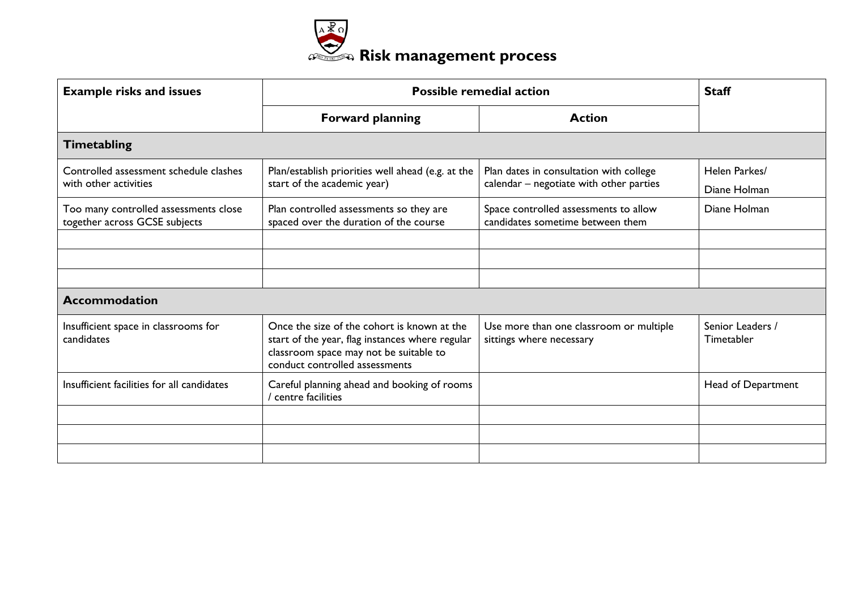

| <b>Example risks and issues</b>                                        | <b>Possible remedial action</b>                                                                                                                                            |                                                                                    | <b>Staff</b>                   |
|------------------------------------------------------------------------|----------------------------------------------------------------------------------------------------------------------------------------------------------------------------|------------------------------------------------------------------------------------|--------------------------------|
|                                                                        | <b>Forward planning</b>                                                                                                                                                    | <b>Action</b>                                                                      |                                |
| <b>Timetabling</b>                                                     |                                                                                                                                                                            |                                                                                    |                                |
| Controlled assessment schedule clashes<br>with other activities        | Plan/establish priorities well ahead (e.g. at the<br>start of the academic year)                                                                                           | Plan dates in consultation with college<br>calendar - negotiate with other parties | Helen Parkes/<br>Diane Holman  |
| Too many controlled assessments close<br>together across GCSE subjects | Plan controlled assessments so they are<br>spaced over the duration of the course                                                                                          | Space controlled assessments to allow<br>candidates sometime between them          | Diane Holman                   |
|                                                                        |                                                                                                                                                                            |                                                                                    |                                |
|                                                                        |                                                                                                                                                                            |                                                                                    |                                |
|                                                                        |                                                                                                                                                                            |                                                                                    |                                |
| <b>Accommodation</b>                                                   |                                                                                                                                                                            |                                                                                    |                                |
| Insufficient space in classrooms for<br>candidates                     | Once the size of the cohort is known at the<br>start of the year, flag instances where regular<br>classroom space may not be suitable to<br>conduct controlled assessments | Use more than one classroom or multiple<br>sittings where necessary                | Senior Leaders /<br>Timetabler |
| Insufficient facilities for all candidates                             | Careful planning ahead and booking of rooms<br>centre facilities                                                                                                           |                                                                                    | Head of Department             |
|                                                                        |                                                                                                                                                                            |                                                                                    |                                |
|                                                                        |                                                                                                                                                                            |                                                                                    |                                |
|                                                                        |                                                                                                                                                                            |                                                                                    |                                |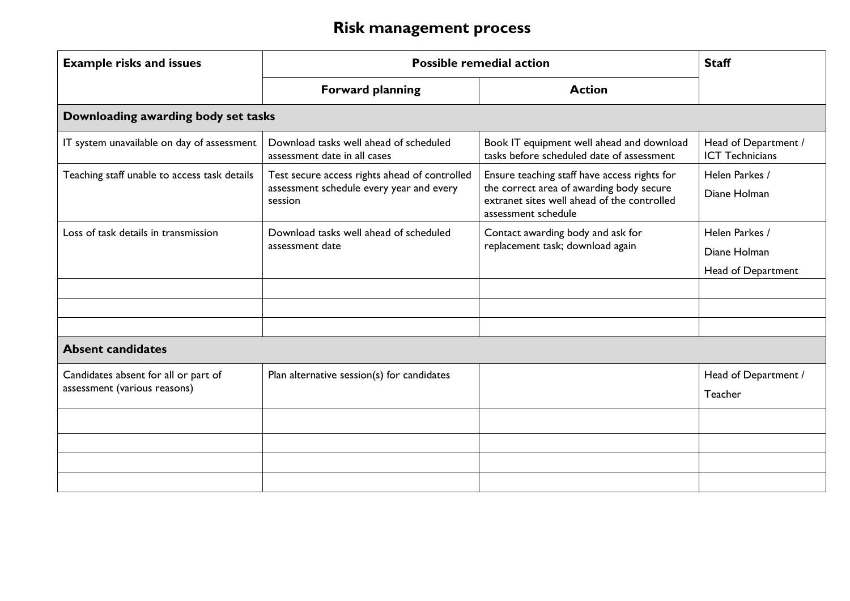| <b>Example risks and issues</b>                                      | <b>Possible remedial action</b>                                                                      |                                                                                                                                                                | <b>Staff</b>                                         |
|----------------------------------------------------------------------|------------------------------------------------------------------------------------------------------|----------------------------------------------------------------------------------------------------------------------------------------------------------------|------------------------------------------------------|
|                                                                      | <b>Forward planning</b>                                                                              | <b>Action</b>                                                                                                                                                  |                                                      |
| Downloading awarding body set tasks                                  |                                                                                                      |                                                                                                                                                                |                                                      |
| IT system unavailable on day of assessment                           | Download tasks well ahead of scheduled<br>assessment date in all cases                               | Book IT equipment well ahead and download<br>tasks before scheduled date of assessment                                                                         | Head of Department /<br><b>ICT Technicians</b>       |
| Teaching staff unable to access task details                         | Test secure access rights ahead of controlled<br>assessment schedule every year and every<br>session | Ensure teaching staff have access rights for<br>the correct area of awarding body secure<br>extranet sites well ahead of the controlled<br>assessment schedule | Helen Parkes /<br>Diane Holman                       |
| Loss of task details in transmission                                 | Download tasks well ahead of scheduled<br>assessment date                                            | Contact awarding body and ask for<br>replacement task; download again                                                                                          | Helen Parkes /<br>Diane Holman<br>Head of Department |
| <b>Absent candidates</b>                                             |                                                                                                      |                                                                                                                                                                |                                                      |
| Candidates absent for all or part of<br>assessment (various reasons) | Plan alternative session(s) for candidates                                                           |                                                                                                                                                                | Head of Department /<br>Teacher                      |
|                                                                      |                                                                                                      |                                                                                                                                                                |                                                      |
|                                                                      |                                                                                                      |                                                                                                                                                                |                                                      |
|                                                                      |                                                                                                      |                                                                                                                                                                |                                                      |
|                                                                      |                                                                                                      |                                                                                                                                                                |                                                      |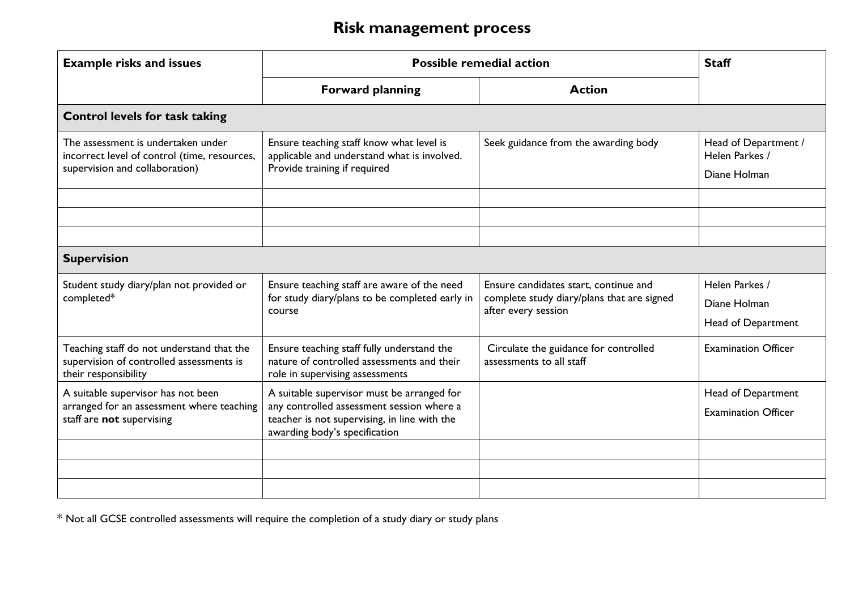| <b>Example risks and issues</b>                                                                                      | <b>Possible remedial action</b>                                                                                                                                          |                                                                                                            | <b>Staff</b>                                           |
|----------------------------------------------------------------------------------------------------------------------|--------------------------------------------------------------------------------------------------------------------------------------------------------------------------|------------------------------------------------------------------------------------------------------------|--------------------------------------------------------|
|                                                                                                                      | <b>Forward planning</b>                                                                                                                                                  | <b>Action</b>                                                                                              |                                                        |
| <b>Control levels for task taking</b>                                                                                |                                                                                                                                                                          |                                                                                                            |                                                        |
| The assessment is undertaken under<br>incorrect level of control (time, resources,<br>supervision and collaboration) | Ensure teaching staff know what level is<br>applicable and understand what is involved.<br>Provide training if required                                                  | Seek guidance from the awarding body                                                                       | Head of Department /<br>Helen Parkes /<br>Diane Holman |
|                                                                                                                      |                                                                                                                                                                          |                                                                                                            |                                                        |
|                                                                                                                      |                                                                                                                                                                          |                                                                                                            |                                                        |
|                                                                                                                      |                                                                                                                                                                          |                                                                                                            |                                                        |
| <b>Supervision</b>                                                                                                   |                                                                                                                                                                          |                                                                                                            |                                                        |
| Student study diary/plan not provided or<br>completed*                                                               | Ensure teaching staff are aware of the need<br>for study diary/plans to be completed early in<br>course                                                                  | Ensure candidates start, continue and<br>complete study diary/plans that are signed<br>after every session | Helen Parkes /<br>Diane Holman<br>Head of Department   |
| Teaching staff do not understand that the<br>supervision of controlled assessments is<br>their responsibility        | Ensure teaching staff fully understand the<br>nature of controlled assessments and their<br>role in supervising assessments                                              | Circulate the guidance for controlled<br>assessments to all staff                                          | <b>Examination Officer</b>                             |
| A suitable supervisor has not been<br>arranged for an assessment where teaching<br>staff are not supervising         | A suitable supervisor must be arranged for<br>any controlled assessment session where a<br>teacher is not supervising, in line with the<br>awarding body's specification |                                                                                                            | Head of Department<br><b>Examination Officer</b>       |
|                                                                                                                      |                                                                                                                                                                          |                                                                                                            |                                                        |
|                                                                                                                      |                                                                                                                                                                          |                                                                                                            |                                                        |
|                                                                                                                      |                                                                                                                                                                          |                                                                                                            |                                                        |

\* Not all GCSE controlled assessments will require the completion of a study diary or study plans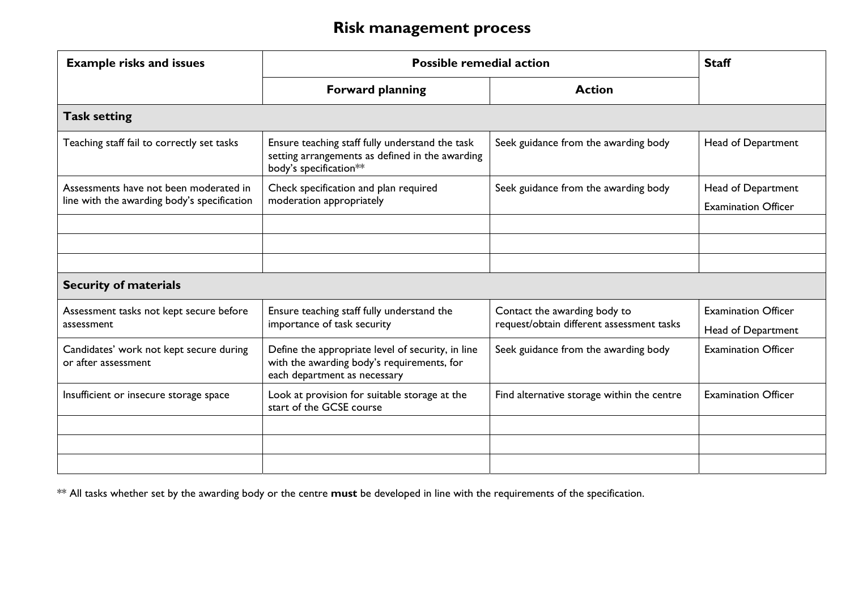| <b>Example risks and issues</b>                                | <b>Possible remedial action</b>                                                                                                 |                                            | <b>Staff</b>               |  |
|----------------------------------------------------------------|---------------------------------------------------------------------------------------------------------------------------------|--------------------------------------------|----------------------------|--|
|                                                                | <b>Forward planning</b>                                                                                                         | <b>Action</b>                              |                            |  |
| <b>Task setting</b>                                            |                                                                                                                                 |                                            |                            |  |
| Teaching staff fail to correctly set tasks                     | Ensure teaching staff fully understand the task<br>setting arrangements as defined in the awarding<br>body's specification**    | Seek guidance from the awarding body       | Head of Department         |  |
| Assessments have not been moderated in                         | Check specification and plan required                                                                                           | Seek guidance from the awarding body       | Head of Department         |  |
| line with the awarding body's specification                    | moderation appropriately                                                                                                        |                                            | <b>Examination Officer</b> |  |
|                                                                |                                                                                                                                 |                                            |                            |  |
|                                                                |                                                                                                                                 |                                            |                            |  |
|                                                                |                                                                                                                                 |                                            |                            |  |
| <b>Security of materials</b>                                   |                                                                                                                                 |                                            |                            |  |
| Assessment tasks not kept secure before                        | Ensure teaching staff fully understand the                                                                                      | Contact the awarding body to               | <b>Examination Officer</b> |  |
| assessment                                                     | importance of task security                                                                                                     | request/obtain different assessment tasks  | Head of Department         |  |
| Candidates' work not kept secure during<br>or after assessment | Define the appropriate level of security, in line<br>with the awarding body's requirements, for<br>each department as necessary | Seek guidance from the awarding body       | <b>Examination Officer</b> |  |
| Insufficient or insecure storage space                         | Look at provision for suitable storage at the<br>start of the GCSE course                                                       | Find alternative storage within the centre | <b>Examination Officer</b> |  |
|                                                                |                                                                                                                                 |                                            |                            |  |
|                                                                |                                                                                                                                 |                                            |                            |  |
|                                                                |                                                                                                                                 |                                            |                            |  |

\*\* All tasks whether set by the awarding body or the centre **must** be developed in line with the requirements of the specification.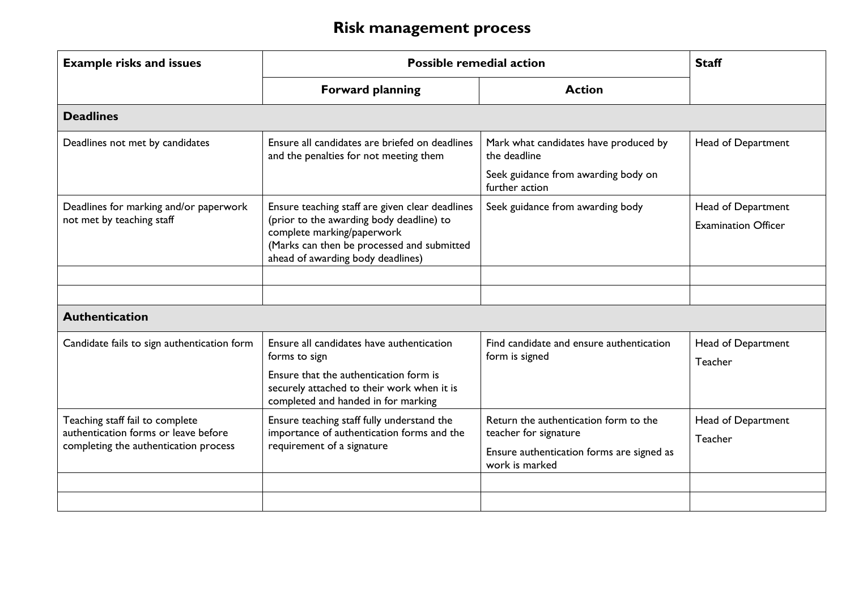| <b>Example risks and issues</b>                                         | <b>Possible remedial action</b>                                                                                                                                                                              |                                                                                              | <b>Staff</b>                                     |
|-------------------------------------------------------------------------|--------------------------------------------------------------------------------------------------------------------------------------------------------------------------------------------------------------|----------------------------------------------------------------------------------------------|--------------------------------------------------|
|                                                                         | <b>Forward planning</b>                                                                                                                                                                                      | <b>Action</b>                                                                                |                                                  |
| <b>Deadlines</b>                                                        |                                                                                                                                                                                                              |                                                                                              |                                                  |
| Deadlines not met by candidates                                         | Ensure all candidates are briefed on deadlines<br>and the penalties for not meeting them                                                                                                                     | Mark what candidates have produced by<br>the deadline<br>Seek guidance from awarding body on | Head of Department                               |
|                                                                         |                                                                                                                                                                                                              | further action                                                                               |                                                  |
| Deadlines for marking and/or paperwork<br>not met by teaching staff     | Ensure teaching staff are given clear deadlines<br>(prior to the awarding body deadline) to<br>complete marking/paperwork<br>(Marks can then be processed and submitted<br>ahead of awarding body deadlines) | Seek guidance from awarding body                                                             | Head of Department<br><b>Examination Officer</b> |
|                                                                         |                                                                                                                                                                                                              |                                                                                              |                                                  |
|                                                                         |                                                                                                                                                                                                              |                                                                                              |                                                  |
| <b>Authentication</b>                                                   |                                                                                                                                                                                                              |                                                                                              |                                                  |
| Candidate fails to sign authentication form                             | Ensure all candidates have authentication<br>forms to sign<br>Ensure that the authentication form is                                                                                                         | Find candidate and ensure authentication<br>form is signed                                   | Head of Department<br>Teacher                    |
|                                                                         | securely attached to their work when it is<br>completed and handed in for marking                                                                                                                            |                                                                                              |                                                  |
| Teaching staff fail to complete<br>authentication forms or leave before | Ensure teaching staff fully understand the<br>importance of authentication forms and the                                                                                                                     | Return the authentication form to the<br>teacher for signature                               | Head of Department<br>Teacher                    |
| completing the authentication process                                   | requirement of a signature                                                                                                                                                                                   | Ensure authentication forms are signed as<br>work is marked                                  |                                                  |
|                                                                         |                                                                                                                                                                                                              |                                                                                              |                                                  |
|                                                                         |                                                                                                                                                                                                              |                                                                                              |                                                  |